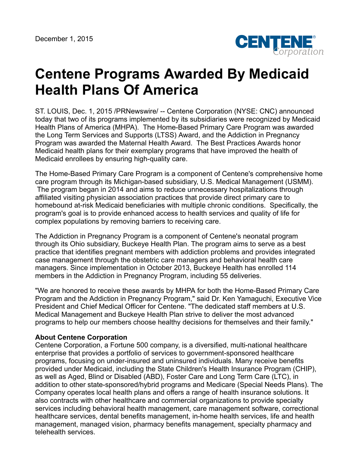

## **Centene Programs Awarded By Medicaid Health Plans Of America**

ST. LOUIS, Dec. 1, 2015 /PRNewswire/ -- Centene Corporation (NYSE: CNC) announced today that two of its programs implemented by its subsidiaries were recognized by Medicaid Health Plans of America (MHPA). The Home-Based Primary Care Program was awarded the Long Term Services and Supports (LTSS) Award, and the Addiction in Pregnancy Program was awarded the Maternal Health Award. The Best Practices Awards honor Medicaid health plans for their exemplary programs that have improved the health of Medicaid enrollees by ensuring high-quality care.

The Home-Based Primary Care Program is a component of Centene's comprehensive home care program through its Michigan-based subsidiary, U.S. Medical Management (USMM). The program began in 2014 and aims to reduce unnecessary hospitalizations through affiliated visiting physician association practices that provide direct primary care to homebound at-risk Medicaid beneficiaries with multiple chronic conditions. Specifically, the program's goal is to provide enhanced access to health services and quality of life for complex populations by removing barriers to receiving care.

The Addiction in Pregnancy Program is a component of Centene's neonatal program through its Ohio subsidiary, Buckeye Health Plan. The program aims to serve as a best practice that identifies pregnant members with addiction problems and provides integrated case management through the obstetric care managers and behavioral health care managers. Since implementation in October 2013, Buckeye Health has enrolled 114 members in the Addiction in Pregnancy Program, including 55 deliveries.

"We are honored to receive these awards by MHPA for both the Home-Based Primary Care Program and the Addiction in Pregnancy Program," said Dr. Ken Yamaguchi, Executive Vice President and Chief Medical Officer for Centene. "The dedicated staff members at U.S. Medical Management and Buckeye Health Plan strive to deliver the most advanced programs to help our members choose healthy decisions for themselves and their family."

## **About Centene Corporation**

Centene Corporation, a Fortune 500 company, is a diversified, multi-national healthcare enterprise that provides a portfolio of services to government-sponsored healthcare programs, focusing on under-insured and uninsured individuals. Many receive benefits provided under Medicaid, including the State Children's Health Insurance Program (CHIP), as well as Aged, Blind or Disabled (ABD), Foster Care and Long Term Care (LTC), in addition to other state-sponsored/hybrid programs and Medicare (Special Needs Plans). The Company operates local health plans and offers a range of health insurance solutions. It also contracts with other healthcare and commercial organizations to provide specialty services including behavioral health management, care management software, correctional healthcare services, dental benefits management, in-home health services, life and health management, managed vision, pharmacy benefits management, specialty pharmacy and telehealth services.